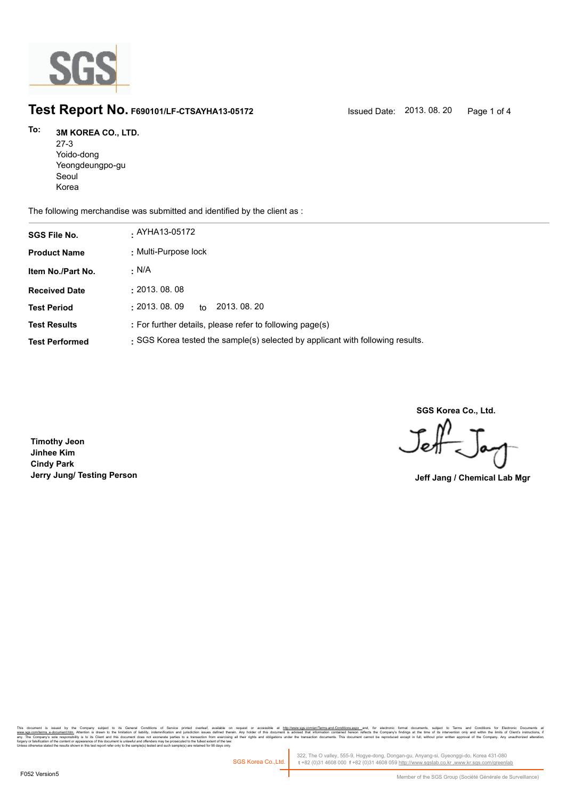

# **Test Report No. F690101/LF-CTSAYHA13-05172** Issued Date: 2013. 08. 20 Page 1 of 4

### **3M KOREA CO., LTD. To:**

27-3 Yoido-dong Yeongdeungpo-gu Seoul Korea

The following merchandise was submitted and identified by the client as :

| <b>SGS File No.</b>   | . AYHA13-05172                                                                 |
|-----------------------|--------------------------------------------------------------------------------|
| <b>Product Name</b>   | : Multi-Purpose lock                                                           |
| Item No./Part No.     | . N/A                                                                          |
| <b>Received Date</b>  | : 2013.08.08                                                                   |
| <b>Test Period</b>    | : 2013.08.09<br>2013, 08, 20<br>to                                             |
| <b>Test Results</b>   | : For further details, please refer to following page(s)                       |
| <b>Test Performed</b> | : SGS Korea tested the sample(s) selected by applicant with following results. |

**SGS Korea Co., Ltd.**

Jeff

**Timothy Jeon Jinhee Kim Cindy Park Jerry Jung/ Testing Person Jeff Jang / Chemical Lab Mgr**

, company sugna, as cerain consmons or servor pnme overa, available that the mate of accessive at <u>mitovawess compendent means associated that indiversases and</u> compensive compensive interest in the distinguish in Temperat forgery or falsification of the content or appearance of this document is unlawful and offenders may be prosecuted to the fullest extent of the law.<br>Unless otherwise stated the results shown in this test report refer only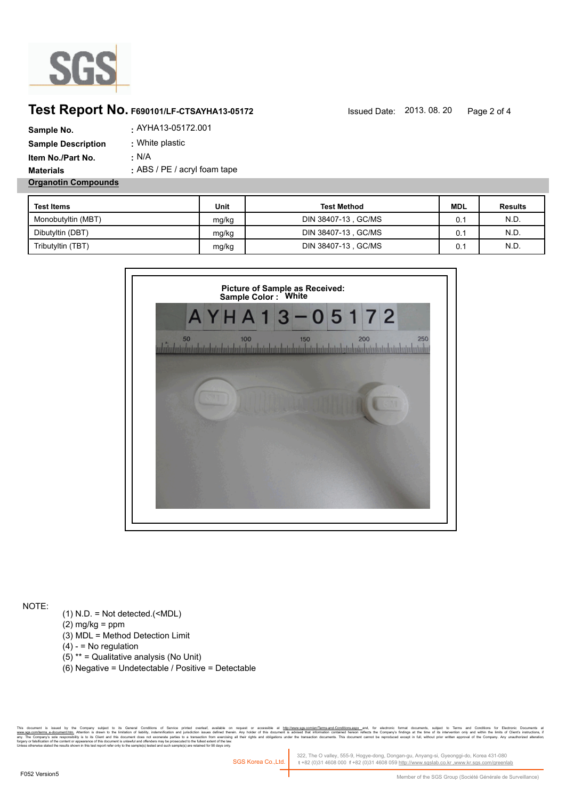

## **Test Report No. F690101/LF-CTSAYHA13-05172** Issued Date: 2013. 08. 20 Page 2 of 4

| Sample No.                 | . AYHA13-05172.001             |
|----------------------------|--------------------------------|
| <b>Sample Description</b>  | : White plastic                |
| Item No./Part No.          | : N/A                          |
| <b>Materials</b>           | $:$ ABS / PE / acryl foam tape |
| <b>Organotin Compounds</b> |                                |

| <b>Test Items</b>  | Unit  | <b>Test Method</b>   | <b>MDL</b> | <b>Results</b> |
|--------------------|-------|----------------------|------------|----------------|
| Monobutyltin (MBT) | mg/kg | DIN 38407-13, GC/MS  | 0.1        | N.D.           |
| Dibutyltin (DBT)   | mg/kg | DIN 38407-13 , GC/MS | 0.1        | N.D.           |
| Tributyltin (TBT)  | mg/kg | DIN 38407-13, GC/MS  | 0.1        | N.D.           |



NOTE:

- (1) N.D. = Not detected.(<MDL)
- $(2)$  mg/kg = ppm
- (3) MDL = Method Detection Limit
- $(4) -$  = No regulation
- (5) \*\* = Qualitative analysis (No Unit)
- (6) Negative = Undetectable / Positive = Detectable

. Company supect to its deneal Conditors of Service primed overleat, available on request or accessible at <u>mitovinwess.commenderme-and-Conditions ass</u>e, and, for electronic bounders, supect to learn the service of the dis forgery or falsification of the content or appearance of this document is unlawful and offenders may be prosecuted to the fullest extent of the law.<br>Unless otherwise stated the results shown in this test report refer only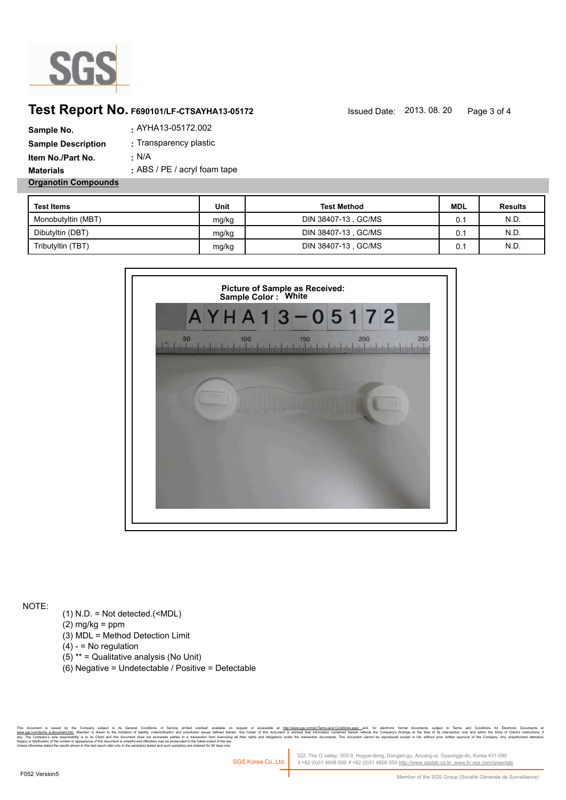

## **Test Report No. F690101/LF-CTSAYHA13-05172** Issued Date: 2013. 08. 20 Page 3 of 4

| Sample No.                 | . AYHA13-05172.002             |
|----------------------------|--------------------------------|
| <b>Sample Description</b>  | : Transparency plastic         |
| Item No./Part No.          | : N/A                          |
| <b>Materials</b>           | $:$ ABS / PE / acryl foam tape |
| <b>Organotin Compounds</b> |                                |

| <b>Test Items</b>  | Unit  | <b>Test Method</b>   | <b>MDL</b> | <b>Results</b> |
|--------------------|-------|----------------------|------------|----------------|
| Monobutyltin (MBT) | mg/kg | DIN 38407-13 , GC/MS | 0.1        | N.D.           |
| Dibutyltin (DBT)   | mg/kg | DIN 38407-13 , GC/MS | 0.1        | N.D.           |
| Tributyltin (TBT)  | mg/kg | DIN 38407-13 , GC/MS | 0.1        | N.D.           |



NOTE:

- (1) N.D. = Not detected.(<MDL)
- $(2)$  mg/kg = ppm
- (3) MDL = Method Detection Limit
- $(4) -$  = No regulation
- (5) \*\* = Qualitative analysis (No Unit)
- (6) Negative = Undetectable / Positive = Detectable

, Company subject to the limitation fishing into a point over all other and over a matter of accessible at http://www.sas.comenterms-anst-Condroms.agex. and, to relectorney is the second of the documents and included the f forgery or falsification of the content or appearance of this document is unlawful and offenders may be prosecuted to the fullest extent of the law.<br>Unless otherwise stated the results shown in this test report refer only